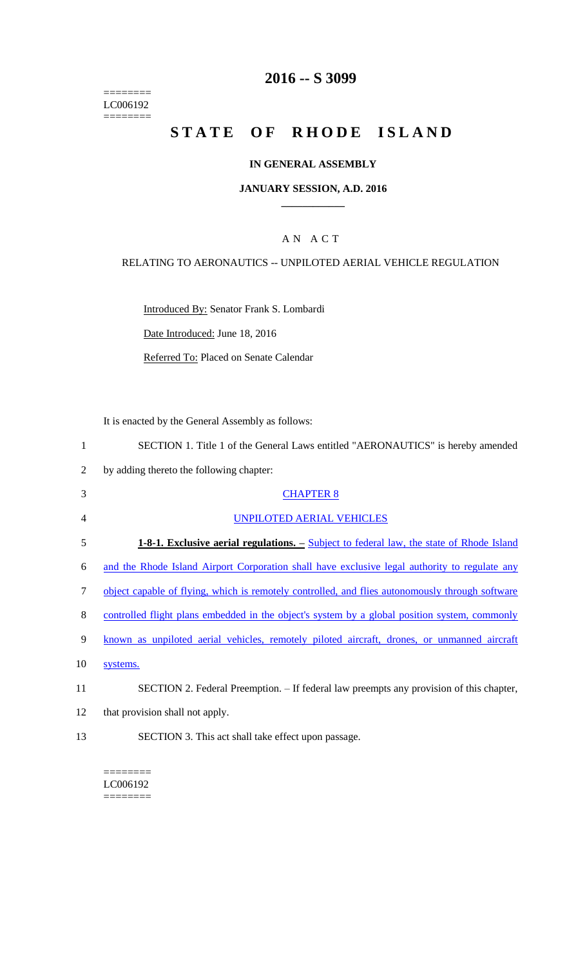======== LC006192  $=$ 

## **2016 -- S 3099**

# STATE OF RHODE ISLAND

#### **IN GENERAL ASSEMBLY**

#### **JANUARY SESSION, A.D. 2016 \_\_\_\_\_\_\_\_\_\_\_\_**

## A N A C T

## RELATING TO AERONAUTICS -- UNPILOTED AERIAL VEHICLE REGULATION

Introduced By: Senator Frank S. Lombardi

Date Introduced: June 18, 2016

Referred To: Placed on Senate Calendar

It is enacted by the General Assembly as follows:

| 1      | SECTION 1. Title 1 of the General Laws entitled "AERONAUTICS" is hereby amended                 |
|--------|-------------------------------------------------------------------------------------------------|
| 2      | by adding thereto the following chapter:                                                        |
| 3      | <b>CHAPTER 8</b>                                                                                |
| 4      | <b>UNPILOTED AERIAL VEHICLES</b>                                                                |
| 5      | <b>1-8-1. Exclusive aerial regulations.</b> – Subject to federal law, the state of Rhode Island |
| 6      | and the Rhode Island Airport Corporation shall have exclusive legal authority to regulate any   |
| $\tau$ | object capable of flying, which is remotely controlled, and flies autonomously through software |
| 8      | controlled flight plans embedded in the object's system by a global position system, commonly   |
| 9      | known as unpiloted aerial vehicles, remotely piloted aircraft, drones, or unmanned aircraft     |
| 10     | systems.                                                                                        |
| 11     | SECTION 2. Federal Preemption. – If federal law preempts any provision of this chapter,         |
| 12     | that provision shall not apply.                                                                 |
| 13     | SECTION 3. This act shall take effect upon passage.                                             |

======== LC006192  $=$